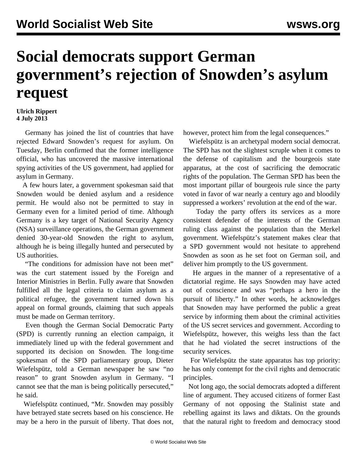## **Social democrats support German government's rejection of Snowden's asylum request**

## **Ulrich Rippert 4 July 2013**

 Germany has joined the list of countries that have rejected Edward Snowden's request for asylum. On Tuesday, Berlin confirmed that the former intelligence official, who has uncovered the massive international spying activities of the US government, had applied for asylum in Germany.

 A few hours later, a government spokesman said that Snowden would be denied asylum and a residence permit. He would also not be permitted to stay in Germany even for a limited period of time. Although Germany is a key target of National Security Agency (NSA) surveillance operations, the German government denied 30-year-old Snowden the right to asylum, although he is being illegally hunted and persecuted by US authorities.

 "The conditions for admission have not been met" was the curt statement issued by the Foreign and Interior Ministries in Berlin. Fully aware that Snowden fulfilled all the legal criteria to claim asylum as a political refugee, the government turned down his appeal on formal grounds, claiming that such appeals must be made on German territory.

 Even though the German Social Democratic Party (SPD) is currently running an election campaign, it immediately lined up with the federal government and supported its decision on Snowden. The long-time spokesman of the SPD parliamentary group, Dieter Wiefelspütz, told a German newspaper he saw "no reason" to grant Snowden asylum in Germany. "I cannot see that the man is being politically persecuted," he said.

 Wiefelspütz continued, "Mr. Snowden may possibly have betrayed state secrets based on his conscience. He may be a hero in the pursuit of liberty. That does not, however, protect him from the legal consequences."

 Wiefelspütz is an archetypal modern social democrat. The SPD has not the slightest scruple when it comes to the defense of capitalism and the bourgeois state apparatus, at the cost of sacrificing the democratic rights of the population. The German SPD has been the most important pillar of bourgeois rule since the party voted in favor of war nearly a century ago and bloodily suppressed a workers' revolution at the end of the war.

 Today the party offers its services as a more consistent defender of the interests of the German ruling class against the population than the Merkel government. Wiefelspütz's statement makes clear that a SPD government would not hesitate to apprehend Snowden as soon as he set foot on German soil, and deliver him promptly to the US government.

 He argues in the manner of a representative of a dictatorial regime. He says Snowden may have acted out of conscience and was "perhaps a hero in the pursuit of liberty." In other words, he acknowledges that Snowden may have performed the public a great service by informing them about the criminal activities of the US secret services and government. According to Wiefelspütz, however, this weighs less than the fact that he had violated the secret instructions of the security services.

 For Wiefelspütz the state apparatus has top priority: he has only contempt for the civil rights and democratic principles.

 Not long ago, the social democrats adopted a different line of argument. They accused citizens of former East Germany of not opposing the Stalinist state and rebelling against its laws and diktats. On the grounds that the natural right to freedom and democracy stood